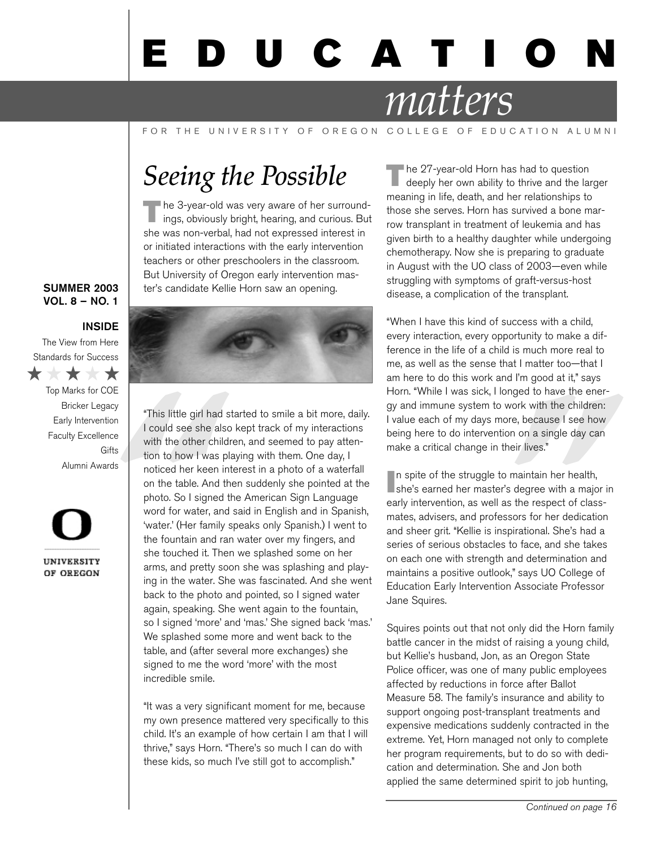# U C A T I

# *matters*

FOR THE UNIVERSITY OF OREGON COLLEGE OF EDUCATION ALUMNI

# *Seeing the Possible*

The 3-year-old was very aware of her surround-<br>ings, obviously bright, hearing, and curious. But she was non-verbal, had not expressed interest in or initiated interactions with the early intervention teachers or other preschoolers in the classroom. But University of Oregon early intervention master's candidate Kellie Horn saw an opening.

### **SUMMER 2003** VOL. 8 – NO. 1

### INSIDE

The View from Here Standards for Success

\*\*\*\*

Top Marks for COE Bricker Legacy Early Intervention Faculty Excellence **Gifts** Alumni Awards

UNIVERSITY OF OREGON



For this little girl had<br>
<sup>29</sup><br>
<sup>26</sup><br>
<sup>26</sup><br>
<sup>26</sup><br>
<sup>26</sup><br>
<sup>26</sup><br>
<sup>26</sup><br>
<sup>26</sup><br>
<sup>26</sup><br>
<sup>26</sup><br>
<sup>26</sup><br>
<sup>26</sup><br>
<sup>26</sup><br>
 26 **1**<br>
 26 **1**<br>
 26 **1**<br> **26** <br>
 26 **1**<br> **26 <b>1**<br> **26 <b>1**<br> **26**<br> **26**<br> **26**<br> **26**<br> **26**<br> **26**<br> **26**<br> **26**<br> **26**<br> **26** "This little girl had started to smile a bit more, daily. I could see she also kept track of my interactions with the other children, and seemed to pay attention to how I was playing with them. One day, I noticed her keen interest in a photo of a waterfall on the table. And then suddenly she pointed at the photo. So I signed the American Sign Language word for water, and said in English and in Spanish, 'water.' (Her family speaks only Spanish.) I went to the fountain and ran water over my fingers, and she touched it. Then we splashed some on her arms, and pretty soon she was splashing and playing in the water. She was fascinated. And she went back to the photo and pointed, so I signed water again, speaking. She went again to the fountain, so I signed 'more' and 'mas.' She signed back 'mas.' We splashed some more and went back to the table, and (after several more exchanges) she signed to me the word 'more' with the most incredible smile.

> "It was a very significant moment for me, because my own presence mattered very specifically to this child. It's an example of how certain I am that I will thrive," says Horn. "There's so much I can do with these kids, so much I've still got to accomplish."

The 27-year-old Horn has had to question<br>deeply her own ability to thrive and the larger meaning in life, death, and her relationships to those she serves. Horn has survived a bone marrow transplant in treatment of leukemia and has given birth to a healthy daughter while undergoing chemotherapy. Now she is preparing to graduate in August with the UO class of 2003—even while struggling with symptoms of graft-versus-host disease, a complication of the transplant.

"When I have this kind of success with a child, every interaction, every opportunity to make a difference in the life of a child is much more real to me, as well as the sense that I matter too—that I am here to do this work and I'm good at it," says Horn. "While I was sick, I longed to have the energy and immune system to work with the children: I value each of my days more, because I see how being here to do intervention on a single day can make a critical change in their lives."

mged to have the ener-<br>work with the children:<br>pre, because I see how<br>on on a single day can<br>neir lives."<br>maintain her health,<br>s degree with a major in<br>s the respect of class-<br>ssors for her dedication<br>pirational. She's had In spite of the struggle to maintain her health,<br>she's earned her master's degree with a major in n spite of the struggle to maintain her health, early intervention, as well as the respect of classmates, advisers, and professors for her dedication and sheer grit. "Kellie is inspirational. She's had a series of serious obstacles to face, and she takes on each one with strength and determination and maintains a positive outlook," says UO College of Education Early Intervention Associate Professor Jane Squires.

Squires points out that not only did the Horn family battle cancer in the midst of raising a young child, but Kellie's husband, Jon, as an Oregon State Police officer, was one of many public employees affected by reductions in force after Ballot Measure 58. The family's insurance and ability to support ongoing post-transplant treatments and expensive medications suddenly contracted in the extreme. Yet, Horn managed not only to complete her program requirements, but to do so with dedication and determination. She and Jon both applied the same determined spirit to job hunting,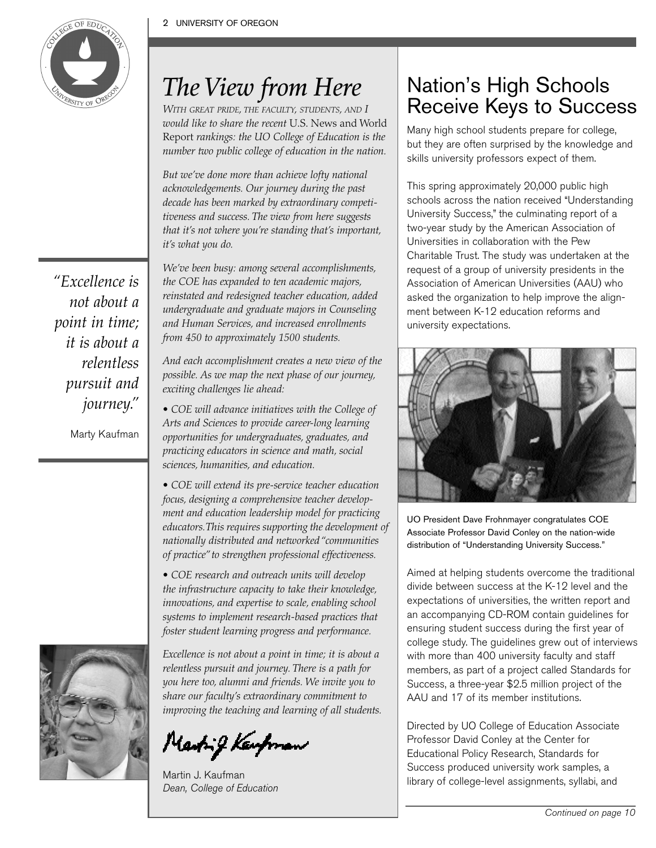

# *The View from Here*

*WITH GREAT PRIDE, THE FACULTY, STUDENTS, AND I would like to share the recent* U.S. News and World Report *rankings: the UO College of Education is the number two public college of education in the nation.*

*But we've done more than achieve lofty national acknowledgements. Our journey during the past decade has been marked by extraordinary competitiveness and success. The view from here suggests that it's not where you're standing that's important, it's what you do.*

*We've been busy: among several accomplishments, the COE has expanded to ten academic majors, reinstated and redesigned teacher education, added undergraduate and graduate majors in Counseling and Human Services, and increased enrollments from 450 to approximately 1500 students.*

*And each accomplishment creates a new view of the possible. As we map the next phase of our journey, exciting challenges lie ahead:* 

*• COE will advance initiatives with the College of Arts and Sciences to provide career-long learning opportunities for undergraduates, graduates, and practicing educators in science and math, social sciences, humanities, and education.*

*• COE will extend its pre-service teacher education focus, designing a comprehensive teacher development and education leadership model for practicing educators.This requires supporting the development of nationally distributed and networked "communities of practice" to strengthen professional effectiveness.*

*• COE research and outreach units will develop the infrastructure capacity to take their knowledge, innovations, and expertise to scale, enabling school systems to implement research-based practices that foster student learning progress and performance.*

*Excellence is not about a point in time; it is about a relentless pursuit and journey. There is a path for you here too, alumni and friends. We invite you to share our faculty's extraordinary commitment to improving the teaching and learning of all students.*

Marting Kaupman

Martin J. Kaufman Dean, College of Education

### Nation's High Schools Receive Keys to Success

Many high school students prepare for college, but they are often surprised by the knowledge and skills university professors expect of them.

This spring approximately 20,000 public high schools across the nation received "Understanding University Success," the culminating report of a two-year study by the American Association of Universities in collaboration with the Pew Charitable Trust. The study was undertaken at the request of a group of university presidents in the Association of American Universities (AAU) who asked the organization to help improve the alignment between K-12 education reforms and university expectations.



UO President Dave Frohnmayer congratulates COE Associate Professor David Conley on the nation-wide distribution of "Understanding University Success."

Aimed at helping students overcome the traditional divide between success at the K-12 level and the expectations of universities, the written report and an accompanying CD-ROM contain guidelines for ensuring student success during the first year of college study. The guidelines grew out of interviews with more than 400 university faculty and staff members, as part of a project called Standards for Success, a three-year \$2.5 million project of the AAU and 17 of its member institutions.

Directed by UO College of Education Associate Professor David Conley at the Center for Educational Policy Research, Standards for Success produced university work samples, a library of college-level assignments, syllabi, and

*"Excellence is not about a point in time; it is about a relentless pursuit and journey."*

Marty Kaufman

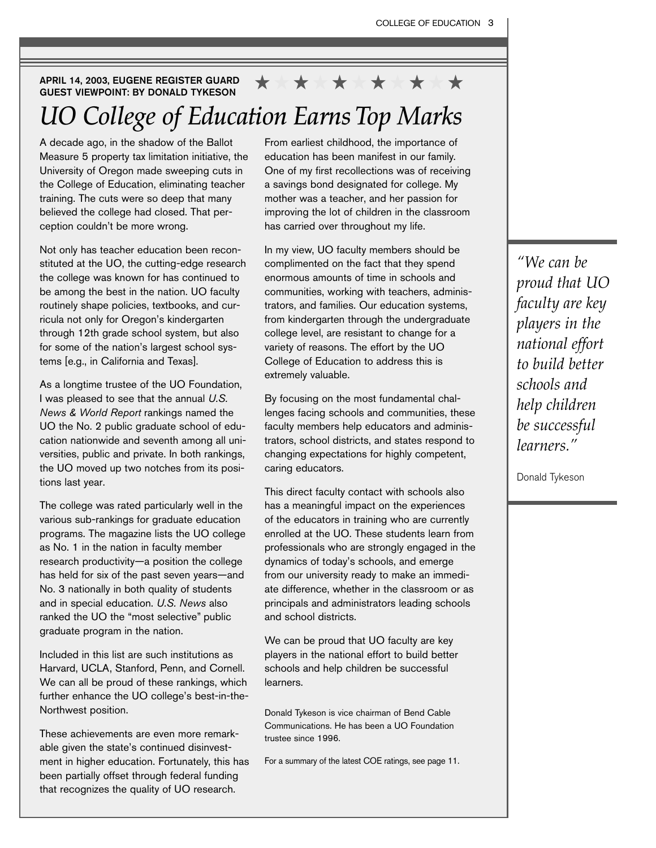### APRIL 14, 2003, EUGENE REGISTER GUARD GUEST VIEWPOINT: BY DONALD TYKESON *UO College of Education Earns Top Marks*  \* \* \* \* \*

A decade ago, in the shadow of the Ballot Measure 5 property tax limitation initiative, the University of Oregon made sweeping cuts in the College of Education, eliminating teacher training. The cuts were so deep that many believed the college had closed. That perception couldn't be more wrong.

Not only has teacher education been reconstituted at the UO, the cutting-edge research the college was known for has continued to be among the best in the nation. UO faculty routinely shape policies, textbooks, and curricula not only for Oregon's kindergarten through 12th grade school system, but also for some of the nation's largest school systems [e.g., in California and Texas].

As a longtime trustee of the UO Foundation, I was pleased to see that the annual *U.S. News & World Report* rankings named the UO the No. 2 public graduate school of education nationwide and seventh among all universities, public and private. In both rankings, the UO moved up two notches from its positions last year.

The college was rated particularly well in the various sub-rankings for graduate education programs. The magazine lists the UO college as No. 1 in the nation in faculty member research productivity—a position the college has held for six of the past seven years—and No. 3 nationally in both quality of students and in special education. *U.S. News* also ranked the UO the "most selective" public graduate program in the nation.

Included in this list are such institutions as Harvard, UCLA, Stanford, Penn, and Cornell. We can all be proud of these rankings, which further enhance the UO college's best-in-the-Northwest position.

These achievements are even more remarkable given the state's continued disinvestment in higher education. Fortunately, this has been partially offset through federal funding that recognizes the quality of UO research.

From earliest childhood, the importance of education has been manifest in our family. One of my first recollections was of receiving a savings bond designated for college. My mother was a teacher, and her passion for improving the lot of children in the classroom has carried over throughout my life.

In my view, UO faculty members should be complimented on the fact that they spend enormous amounts of time in schools and communities, working with teachers, administrators, and families. Our education systems, from kindergarten through the undergraduate college level, are resistant to change for a variety of reasons. The effort by the UO College of Education to address this is extremely valuable.

By focusing on the most fundamental challenges facing schools and communities, these faculty members help educators and administrators, school districts, and states respond to changing expectations for highly competent, caring educators.

This direct faculty contact with schools also has a meaningful impact on the experiences of the educators in training who are currently enrolled at the UO. These students learn from professionals who are strongly engaged in the dynamics of today's schools, and emerge from our university ready to make an immediate difference, whether in the classroom or as principals and administrators leading schools and school districts.

We can be proud that UO faculty are key players in the national effort to build better schools and help children be successful learners.

Donald Tykeson is vice chairman of Bend Cable Communications. He has been a UO Foundation trustee since 1996.

For a summary of the latest COE ratings, see page 11.

*"We can be proud that UO faculty are key players in the national effort to build better schools and help children be successful learners."*

Donald Tykeson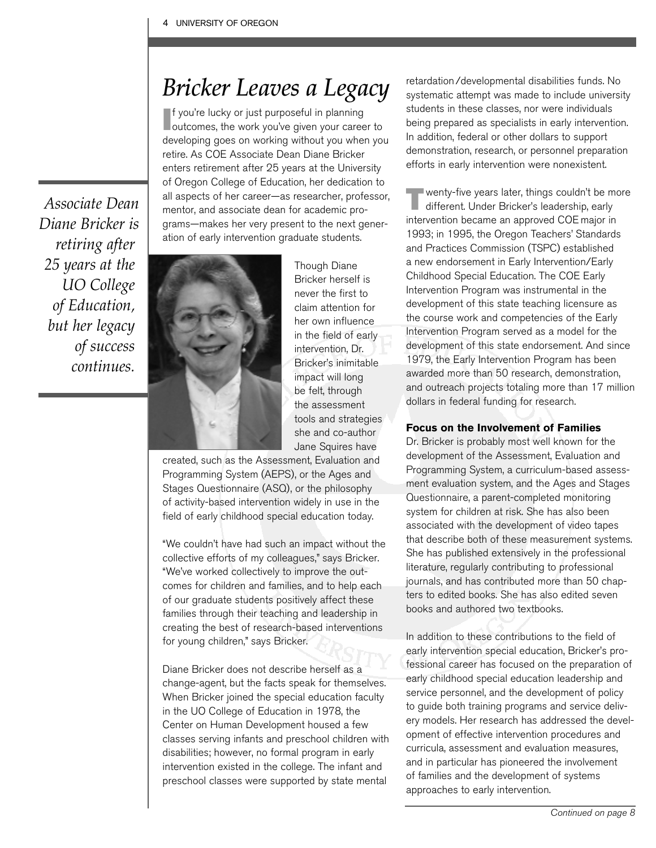### *Bricker Leaves a Legacy*

If you're lucky or just purposeful in planning<br>outcomes, the work you've given your career to f you're lucky or just purposeful in planning developing goes on working without you when you retire. As COE Associate Dean Diane Bricker enters retirement after 25 years at the University of Oregon College of Education, her dedication to all aspects of her career—as researcher, professor, mentor, and associate dean for academic programs—makes her very present to the next generation of early intervention graduate students.

*Associate Dean Diane Bricker is retiring after 25 years at the UO College of Education, but her legacy of success continues.* 



Though Diane Bricker herself is never the first to claim attention for her own influence in the field of early intervention, Dr. Bricker's inimitable impact will long be felt, through the assessment tools and strategies she and co-author Jane Squires have

created, such as the Assessment, Evaluation and Programming System (AEPS), or the Ages and Stages Questionnaire (ASQ), or the philosophy of activity-based intervention widely in use in the field of early childhood special education today.

"We couldn't have had such an impact without the collective efforts of my colleagues," says Bricker. "We've worked collectively to improve the outcomes for children and families, and to help each of our graduate students positively affect these families through their teaching and leadership in creating the best of research-based interventions for young children," says Bricker.

Diane Bricker does not describe herself as a change-agent, but the facts speak for themselves. When Bricker joined the special education faculty in the UO College of Education in 1978, the Center on Human Development housed a few classes serving infants and preschool children with disabilities; however, no formal program in early intervention existed in the college. The infant and preschool classes were supported by state mental

retardation/developmental disabilities funds. No systematic attempt was made to include university students in these classes, nor were individuals being prepared as specialists in early intervention. In addition, federal or other dollars to support demonstration, research, or personnel preparation efforts in early intervention were nonexistent.

 $\blacksquare$  wenty-five years later, things couldn't be more different. Under Bricker's leadership, early intervention became an approved COE major in 1993; in 1995, the Oregon Teachers' Standards and Practices Commission (TSPC) established a new endorsement in Early Intervention/Early Childhood Special Education. The COE Early Intervention Program was instrumental in the development of this state teaching licensure as the course work and competencies of the Early Intervention Program served as a model for the development of this state endorsement. And since 1979, the Early Intervention Program has been awarded more than 50 research, demonstration, and outreach projects totaling more than 17 million dollars in federal funding for research.

### **Focus on the Involvement of Families**

Dr. Bricker is probably most well known for the development of the Assessment, Evaluation and Programming System, a curriculum-based assessment evaluation system, and the Ages and Stages Questionnaire, a parent-completed monitoring system for children at risk. She has also been associated with the development of video tapes that describe both of these measurement systems. She has published extensively in the professional literature, regularly contributing to professional journals, and has contributed more than 50 chapters to edited books. She has also edited seven books and authored two textbooks.

In addition to these contributions to the field of early intervention special education, Bricker's professional career has focused on the preparation of early childhood special education leadership and service personnel, and the development of policy to guide both training programs and service delivery models. Her research has addressed the development of effective intervention procedures and curricula, assessment and evaluation measures, and in particular has pioneered the involvement of families and the development of systems approaches to early intervention.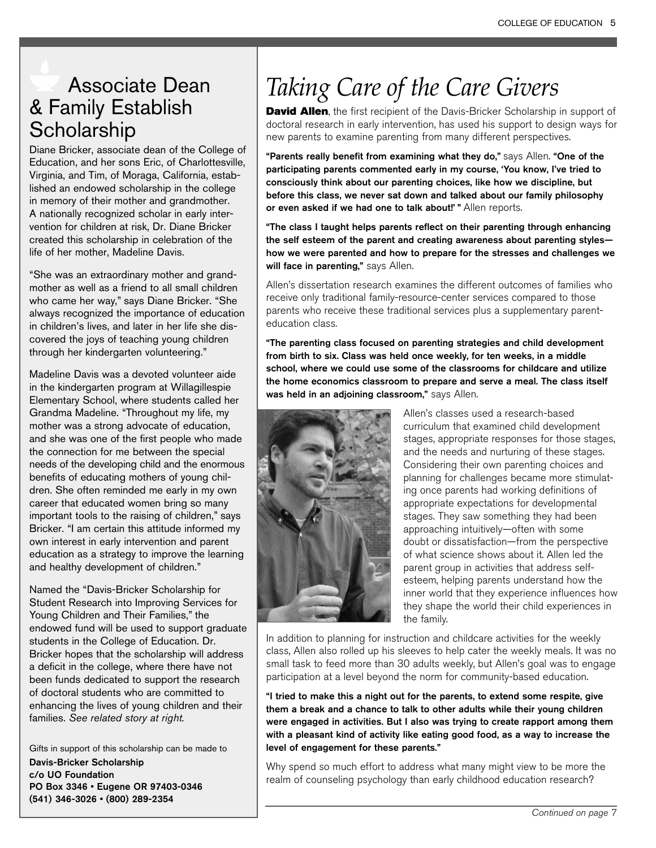### Associate Dean & Family Establish **Scholarship**

Diane Bricker, associate dean of the College of Education, and her sons Eric, of Charlottesville, Virginia, and Tim, of Moraga, California, established an endowed scholarship in the college in memory of their mother and grandmother. A nationally recognized scholar in early intervention for children at risk, Dr. Diane Bricker created this scholarship in celebration of the life of her mother, Madeline Davis.

"She was an extraordinary mother and grandmother as well as a friend to all small children who came her way," says Diane Bricker. "She always recognized the importance of education in children's lives, and later in her life she discovered the joys of teaching young children through her kindergarten volunteering."

Madeline Davis was a devoted volunteer aide in the kindergarten program at Willagillespie Elementary School, where students called her Grandma Madeline. "Throughout my life, my mother was a strong advocate of education, and she was one of the first people who made the connection for me between the special needs of the developing child and the enormous benefits of educating mothers of young children. She often reminded me early in my own career that educated women bring so many important tools to the raising of children," says Bricker. "I am certain this attitude informed my own interest in early intervention and parent education as a strategy to improve the learning and healthy development of children."

Named the "Davis-Bricker Scholarship for Student Research into Improving Services for Young Children and Their Families," the endowed fund will be used to support graduate students in the College of Education. Dr. Bricker hopes that the scholarship will address a deficit in the college, where there have not been funds dedicated to support the research of doctoral students who are committed to enhancing the lives of young children and their families. *See related story at right.*

Gifts in support of this scholarship can be made to Davis-Bricker Scholarship c/o UO Foundation PO Box 3346 • Eugene OR 97403-0346 (541) 346-3026 • (800) 289-2354

# *Taking Care of the Care Givers*

David Allen, the first recipient of the Davis-Bricker Scholarship in support of doctoral research in early intervention, has used his support to design ways for new parents to examine parenting from many different perspectives.

"Parents really benefit from examining what they do," says Allen. "One of the participating parents commented early in my course, 'You know, I've tried to consciously think about our parenting choices, like how we discipline, but before this class, we never sat down and talked about our family philosophy or even asked if we had one to talk about!" " Allen reports.

"The class I taught helps parents reflect on their parenting through enhancing the self esteem of the parent and creating awareness about parenting styles how we were parented and how to prepare for the stresses and challenges we will face in parenting," says Allen.

Allen's dissertation research examines the different outcomes of families who receive only traditional family-resource-center services compared to those parents who receive these traditional services plus a supplementary parenteducation class.

"The parenting class focused on parenting strategies and child development from birth to six. Class was held once weekly, for ten weeks, in a middle school, where we could use some of the classrooms for childcare and utilize the home economics classroom to prepare and serve a meal. The class itself was held in an adjoining classroom," says Allen.



Allen's classes used a research-based curriculum that examined child development stages, appropriate responses for those stages, and the needs and nurturing of these stages. Considering their own parenting choices and planning for challenges became more stimulating once parents had working definitions of appropriate expectations for developmental stages. They saw something they had been approaching intuitively—often with some doubt or dissatisfaction—from the perspective of what science shows about it. Allen led the parent group in activities that address selfesteem, helping parents understand how the inner world that they experience influences how they shape the world their child experiences in the family.

In addition to planning for instruction and childcare activities for the weekly class, Allen also rolled up his sleeves to help cater the weekly meals. It was no small task to feed more than 30 adults weekly, but Allen's goal was to engage participation at a level beyond the norm for community-based education.

"I tried to make this a night out for the parents, to extend some respite, give them a break and a chance to talk to other adults while their young children were engaged in activities. But I also was trying to create rapport among them with a pleasant kind of activity like eating good food, as a way to increase the level of engagement for these parents."

Why spend so much effort to address what many might view to be more the realm of counseling psychology than early childhood education research?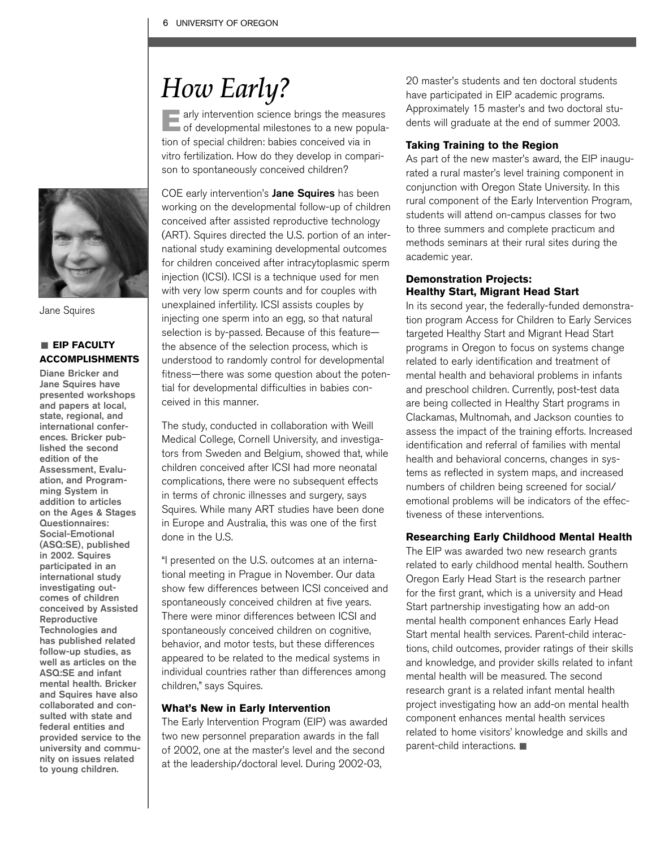# *How Early?*

Early intervention science brings the measures of developmental milestones to a new population of special children: babies conceived via in vitro fertilization. How do they develop in comparison to spontaneously conceived children?



Jane Squires

### **EIP FACULTY ACCOMPLISHMENTS**

Diane Bricker and Jane Squires have presented workshops and papers at local, state, regional, and international conferences. Bricker published the second edition of the Assessment, Evaluation, and Programming System in addition to articles on the Ages & Stages Questionnaires: Social-Emotional (ASQ:SE), published in 2002. Squires participated in an international study investigating outcomes of children conceived by Assisted Reproductive Technologies and has published related follow-up studies, as well as articles on the ASQ:SE and infant mental health. Bricker and Squires have also collaborated and consulted with state and federal entities and provided service to the university and community on issues related to young children.

COE early intervention's Jane Squires has been working on the developmental follow-up of children conceived after assisted reproductive technology (ART). Squires directed the U.S. portion of an international study examining developmental outcomes for children conceived after intracytoplasmic sperm injection (ICSI). ICSI is a technique used for men with very low sperm counts and for couples with unexplained infertility. ICSI assists couples by injecting one sperm into an egg, so that natural selection is by-passed. Because of this feature the absence of the selection process, which is understood to randomly control for developmental fitness—there was some question about the potential for developmental difficulties in babies conceived in this manner.

The study, conducted in collaboration with Weill Medical College, Cornell University, and investigators from Sweden and Belgium, showed that, while children conceived after ICSI had more neonatal complications, there were no subsequent effects in terms of chronic illnesses and surgery, says Squires. While many ART studies have been done in Europe and Australia, this was one of the first done in the U.S.

"I presented on the U.S. outcomes at an international meeting in Prague in November. Our data show few differences between ICSI conceived and spontaneously conceived children at five years. There were minor differences between ICSI and spontaneously conceived children on cognitive, behavior, and motor tests, but these differences appeared to be related to the medical systems in individual countries rather than differences among children," says Squires.

### **What's New in Early Intervention**

The Early Intervention Program (EIP) was awarded two new personnel preparation awards in the fall of 2002, one at the master's level and the second at the leadership/doctoral level. During 2002-03,

20 master's students and ten doctoral students have participated in EIP academic programs. Approximately 15 master's and two doctoral students will graduate at the end of summer 2003.

### **Taking Training to the Region**

As part of the new master's award, the EIP inaugurated a rural master's level training component in conjunction with Oregon State University. In this rural component of the Early Intervention Program, students will attend on-campus classes for two to three summers and complete practicum and methods seminars at their rural sites during the academic year.

### **Demonstration Projects: Healthy Start, Migrant Head Start**

In its second year, the federally-funded demonstration program Access for Children to Early Services targeted Healthy Start and Migrant Head Start programs in Oregon to focus on systems change related to early identification and treatment of mental health and behavioral problems in infants and preschool children. Currently, post-test data are being collected in Healthy Start programs in Clackamas, Multnomah, and Jackson counties to assess the impact of the training efforts. Increased identification and referral of families with mental health and behavioral concerns, changes in systems as reflected in system maps, and increased numbers of children being screened for social/ emotional problems will be indicators of the effectiveness of these interventions.

### **Researching Early Childhood Mental Health**

The EIP was awarded two new research grants related to early childhood mental health. Southern Oregon Early Head Start is the research partner for the first grant, which is a university and Head Start partnership investigating how an add-on mental health component enhances Early Head Start mental health services. Parent-child interactions, child outcomes, provider ratings of their skills and knowledge, and provider skills related to infant mental health will be measured. The second research grant is a related infant mental health project investigating how an add-on mental health component enhances mental health services related to home visitors' knowledge and skills and  $parent$ -child interactions.  $\blacksquare$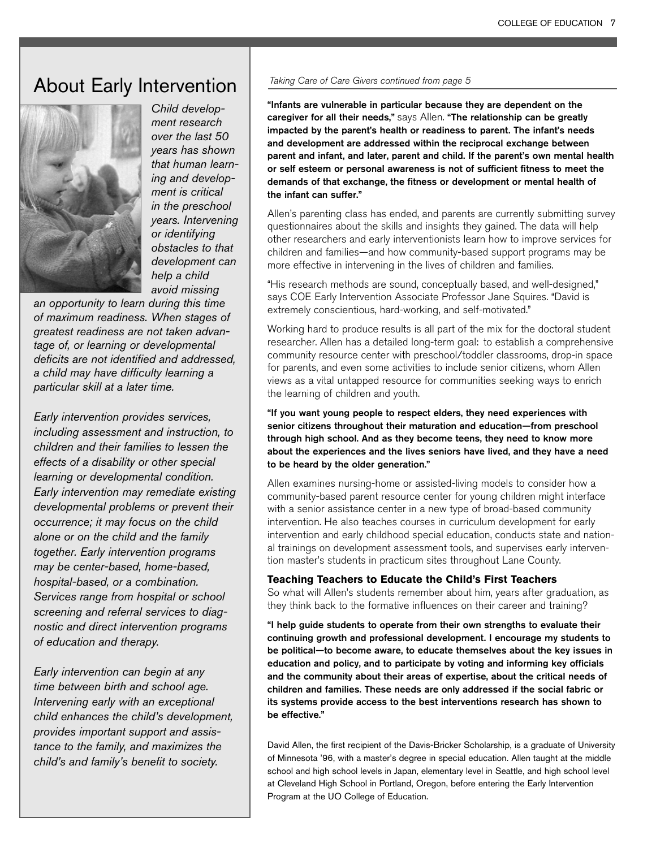### About Early Intervention



*ment research over the last 50 years has shown that human learning and development is critical in the preschool years. Intervening or identifying obstacles to that development can help a child avoid missing* 

*Child develop-*

*an opportunity to learn during this time of maximum readiness. When stages of greatest readiness are not taken advantage of, or learning or developmental deficits are not identified and addressed, a child may have difficulty learning a particular skill at a later time.*

*Early intervention provides services, including assessment and instruction, to children and their families to lessen the effects of a disability or other special learning or developmental condition. Early intervention may remediate existing developmental problems or prevent their occurrence; it may focus on the child alone or on the child and the family together. Early intervention programs may be center-based, home-based, hospital-based, or a combination. Services range from hospital or school screening and referral services to diagnostic and direct intervention programs of education and therapy.* 

*Early intervention can begin at any time between birth and school age. Intervening early with an exceptional child enhances the child's development, provides important support and assistance to the family, and maximizes the child's and family's benefit to society.*

### Taking Care of Care Givers continued from page 5

"Infants are vulnerable in particular because they are dependent on the caregiver for all their needs," says Allen. "The relationship can be greatly impacted by the parent's health or readiness to parent. The infant's needs and development are addressed within the reciprocal exchange between parent and infant, and later, parent and child. If the parent's own mental health or self esteem or personal awareness is not of sufficient fitness to meet the demands of that exchange, the fitness or development or mental health of the infant can suffer."

Allen's parenting class has ended, and parents are currently submitting survey questionnaires about the skills and insights they gained. The data will help other researchers and early interventionists learn how to improve services for children and families—and how community-based support programs may be more effective in intervening in the lives of children and families.

"His research methods are sound, conceptually based, and well-designed," says COE Early Intervention Associate Professor Jane Squires. "David is extremely conscientious, hard-working, and self-motivated."

Working hard to produce results is all part of the mix for the doctoral student researcher. Allen has a detailed long-term goal: to establish a comprehensive community resource center with preschool/toddler classrooms, drop-in space for parents, and even some activities to include senior citizens, whom Allen views as a vital untapped resource for communities seeking ways to enrich the learning of children and youth.

"If you want young people to respect elders, they need experiences with senior citizens throughout their maturation and education—from preschool through high school. And as they become teens, they need to know more about the experiences and the lives seniors have lived, and they have a need to be heard by the older generation."

Allen examines nursing-home or assisted-living models to consider how a community-based parent resource center for young children might interface with a senior assistance center in a new type of broad-based community intervention. He also teaches courses in curriculum development for early intervention and early childhood special education, conducts state and national trainings on development assessment tools, and supervises early intervention master's students in practicum sites throughout Lane County.

### **Teaching Teachers to Educate the Child's First Teachers**

So what will Allen's students remember about him, years after graduation, as they think back to the formative influences on their career and training?

"I help guide students to operate from their own strengths to evaluate their continuing growth and professional development. I encourage my students to be political—to become aware, to educate themselves about the key issues in education and policy, and to participate by voting and informing key officials and the community about their areas of expertise, about the critical needs of children and families. These needs are only addressed if the social fabric or its systems provide access to the best interventions research has shown to be effective."

David Allen, the first recipient of the Davis-Bricker Scholarship, is a graduate of University of Minnesota '96, with a master's degree in special education. Allen taught at the middle school and high school levels in Japan, elementary level in Seattle, and high school level at Cleveland High School in Portland, Oregon, before entering the Early Intervention Program at the UO College of Education.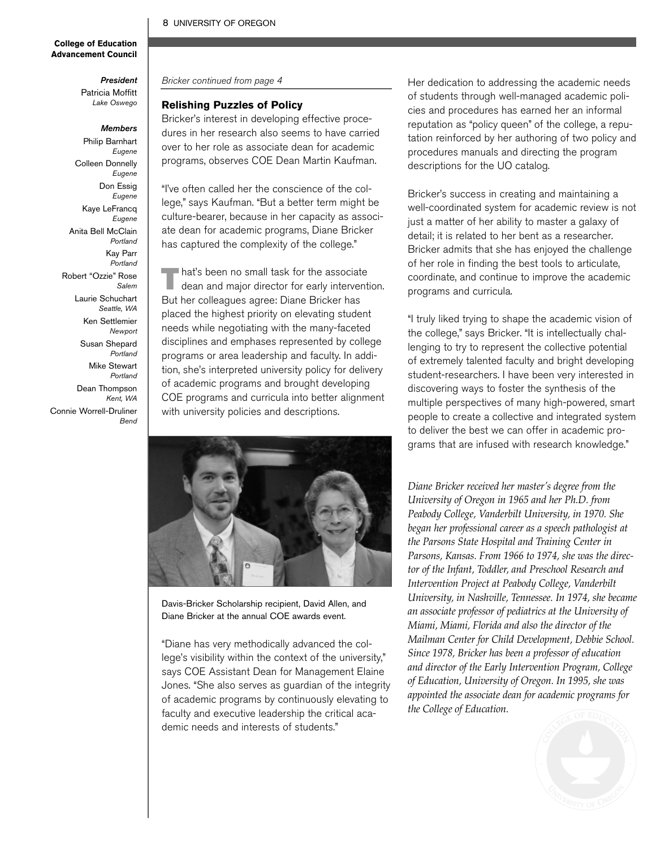### 8 UNIVERSITY OF OREGON

### **College of Education Advancement Council**

*President* Patricia Moffitt *Lake Oswego*

#### *Members*

Philip Barnhart *Eugene* Colleen Donnelly *Eugene* Don Essig *Eugene* Kaye LeFrancq *Eugene* Anita Bell McClain *Portland* Kay Parr *Portland* Robert "Ozzie" Rose *Salem* Laurie Schuchart *Seattle, WA* Ken Settlemier *Newport* Susan Shepard *Portland* Mike Stewart *Portland* Dean Thompson *Kent, WA* Connie Worrell-Druliner *Bend*

Bricker continued from page 4

### **Relishing Puzzles of Policy**

Bricker's interest in developing effective procedures in her research also seems to have carried over to her role as associate dean for academic programs, observes COE Dean Martin Kaufman.

"I've often called her the conscience of the college," says Kaufman. "But a better term might be culture-bearer, because in her capacity as associate dean for academic programs, Diane Bricker has captured the complexity of the college."

That's been no small task for the associate<br>dean and major director for early intervention. But her colleagues agree: Diane Bricker has placed the highest priority on elevating student needs while negotiating with the many-faceted disciplines and emphases represented by college programs or area leadership and faculty. In addition, she's interpreted university policy for delivery of academic programs and brought developing COE programs and curricula into better alignment with university policies and descriptions.



Davis-Bricker Scholarship recipient, David Allen, and Diane Bricker at the annual COE awards event.

"Diane has very methodically advanced the college's visibility within the context of the university," says COE Assistant Dean for Management Elaine Jones. "She also serves as guardian of the integrity of academic programs by continuously elevating to faculty and executive leadership the critical academic needs and interests of students."

Her dedication to addressing the academic needs of students through well-managed academic policies and procedures has earned her an informal reputation as "policy queen" of the college, a reputation reinforced by her authoring of two policy and procedures manuals and directing the program descriptions for the UO catalog.

Bricker's success in creating and maintaining a well-coordinated system for academic review is not just a matter of her ability to master a galaxy of detail; it is related to her bent as a researcher. Bricker admits that she has enjoyed the challenge of her role in finding the best tools to articulate, coordinate, and continue to improve the academic programs and curricula.

"I truly liked trying to shape the academic vision of the college," says Bricker. "It is intellectually challenging to try to represent the collective potential of extremely talented faculty and bright developing student-researchers. I have been very interested in discovering ways to foster the synthesis of the multiple perspectives of many high-powered, smart people to create a collective and integrated system to deliver the best we can offer in academic programs that are infused with research knowledge."

*Diane Bricker received her master's degree from the University of Oregon in 1965 and her Ph.D. from Peabody College, Vanderbilt University, in 1970. She began her professional career as a speech pathologist at the Parsons State Hospital and Training Center in Parsons, Kansas. From 1966 to 1974, she was the director of the Infant, Toddler, and Preschool Research and Intervention Project at Peabody College, Vanderbilt University, in Nashville, Tennessee. In 1974, she became an associate professor of pediatrics at the University of Miami, Miami, Florida and also the director of the Mailman Center for Child Development, Debbie School. Since 1978, Bricker has been a professor of education and director of the Early Intervention Program, College of Education, University of Oregon. In 1995, she was appointed the associate dean for academic programs for the College of Education.* 

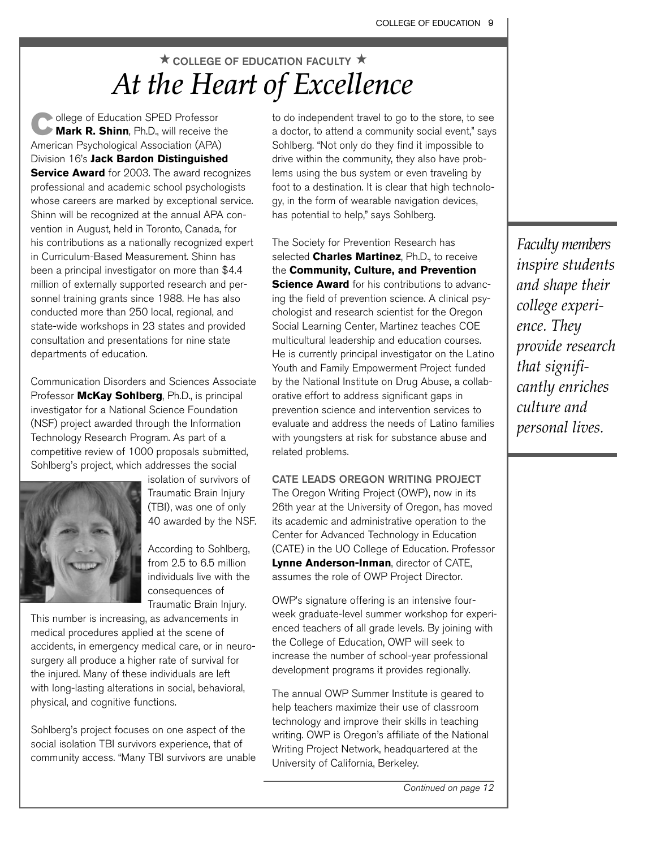### $\star$  COLLEGE OF EDUCATION FACULTY  $\star$ *At the Heart of Excellence*

**College of Education SPED Professor**<br>**Mark R. Shinn**, Ph.D., will receive the American Psychological Association (APA) Division 16's **Jack Bardon Distinguished Service Award** for 2003. The award recognizes professional and academic school psychologists whose careers are marked by exceptional service. Shinn will be recognized at the annual APA convention in August, held in Toronto, Canada, for his contributions as a nationally recognized expert in Curriculum-Based Measurement. Shinn has been a principal investigator on more than \$4.4 million of externally supported research and personnel training grants since 1988. He has also conducted more than 250 local, regional, and state-wide workshops in 23 states and provided consultation and presentations for nine state departments of education.

Communication Disorders and Sciences Associate Professor **McKay Sohlberg**, Ph.D., is principal investigator for a National Science Foundation (NSF) project awarded through the Information Technology Research Program. As part of a competitive review of 1000 proposals submitted, Sohlberg's project, which addresses the social



isolation of survivors of Traumatic Brain Injury (TBI), was one of only 40 awarded by the NSF.

According to Sohlberg, from 2.5 to 6.5 million individuals live with the consequences of Traumatic Brain Injury.

This number is increasing, as advancements in medical procedures applied at the scene of accidents, in emergency medical care, or in neurosurgery all produce a higher rate of survival for the injured. Many of these individuals are left with long-lasting alterations in social, behavioral, physical, and cognitive functions.

Sohlberg's project focuses on one aspect of the social isolation TBI survivors experience, that of community access. "Many TBI survivors are unable to do independent travel to go to the store, to see a doctor, to attend a community social event," says Sohlberg. "Not only do they find it impossible to drive within the community, they also have problems using the bus system or even traveling by foot to a destination. It is clear that high technology, in the form of wearable navigation devices, has potential to help," says Sohlberg.

The Society for Prevention Research has selected **Charles Martinez**, Ph.D., to receive the **Community, Culture, and Prevention Science Award** for his contributions to advancing the field of prevention science. A clinical psychologist and research scientist for the Oregon Social Learning Center, Martinez teaches COE multicultural leadership and education courses. He is currently principal investigator on the Latino Youth and Family Empowerment Project funded by the National Institute on Drug Abuse, a collaborative effort to address significant gaps in prevention science and intervention services to evaluate and address the needs of Latino families with youngsters at risk for substance abuse and related problems.

CATE LEADS OREGON WRITING PROJECT

The Oregon Writing Project (OWP), now in its 26th year at the University of Oregon, has moved its academic and administrative operation to the Center for Advanced Technology in Education (CATE) in the UO College of Education. Professor **Lynne Anderson-Inman**, director of CATE, assumes the role of OWP Project Director.

OWP's signature offering is an intensive fourweek graduate-level summer workshop for experienced teachers of all grade levels. By joining with the College of Education, OWP will seek to increase the number of school-year professional development programs it provides regionally.

The annual OWP Summer Institute is geared to help teachers maximize their use of classroom technology and improve their skills in teaching writing. OWP is Oregon's affiliate of the National Writing Project Network, headquartered at the University of California, Berkeley.

*Faculty members inspire students and shape their college experience. They provide research that significantly enriches culture and personal lives.*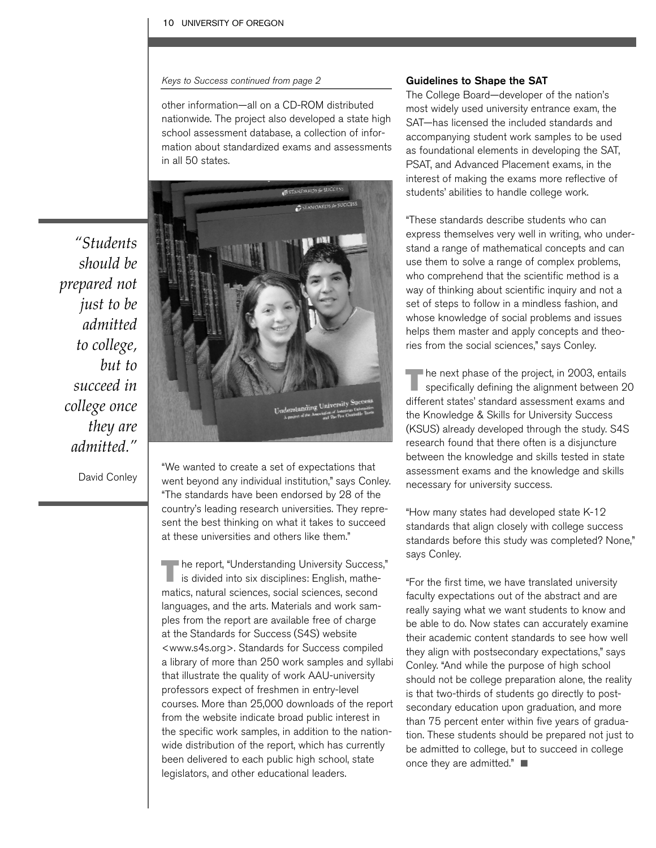#### Keys to Success continued from page 2

other information—all on a CD-ROM distributed nationwide. The project also developed a state high school assessment database, a collection of information about standardized exams and assessments in all 50 states.

*"Students should be prepared not just to be admitted to college, but to succeed in college once they are admitted."*



David Conley

"We wanted to create a set of expectations that went beyond any individual institution," says Conley. "The standards have been endorsed by 28 of the country's leading research universities. They represent the best thinking on what it takes to succeed at these universities and others like them."

The report, "Understanding University Success," is divided into six disciplines: English, mathematics, natural sciences, social sciences, second languages, and the arts. Materials and work samples from the report are available free of charge at the Standards for Success (S4S) website <www.s4s.org>. Standards for Success compiled a library of more than 250 work samples and syllabi that illustrate the quality of work AAU-university professors expect of freshmen in entry-level courses. More than 25,000 downloads of the report from the website indicate broad public interest in the specific work samples, in addition to the nationwide distribution of the report, which has currently been delivered to each public high school, state legislators, and other educational leaders.

### Guidelines to Shape the SAT

The College Board—developer of the nation's most widely used university entrance exam, the SAT—has licensed the included standards and accompanying student work samples to be used as foundational elements in developing the SAT, PSAT, and Advanced Placement exams, in the interest of making the exams more reflective of students' abilities to handle college work.

"These standards describe students who can express themselves very well in writing, who understand a range of mathematical concepts and can use them to solve a range of complex problems, who comprehend that the scientific method is a way of thinking about scientific inquiry and not a set of steps to follow in a mindless fashion, and whose knowledge of social problems and issues helps them master and apply concepts and theories from the social sciences," says Conley.

 $\blacksquare$  he next phase of the project, in 2003, entails specifically defining the alignment between 20 different states' standard assessment exams and the Knowledge & Skills for University Success (KSUS) already developed through the study. S4S research found that there often is a disjuncture between the knowledge and skills tested in state assessment exams and the knowledge and skills necessary for university success.

"How many states had developed state K-12 standards that align closely with college success standards before this study was completed? None," says Conley.

"For the first time, we have translated university faculty expectations out of the abstract and are really saying what we want students to know and be able to do. Now states can accurately examine their academic content standards to see how well they align with postsecondary expectations," says Conley. "And while the purpose of high school should not be college preparation alone, the reality is that two-thirds of students go directly to postsecondary education upon graduation, and more than 75 percent enter within five years of graduation. These students should be prepared not just to be admitted to college, but to succeed in college once they are admitted."  $\blacksquare$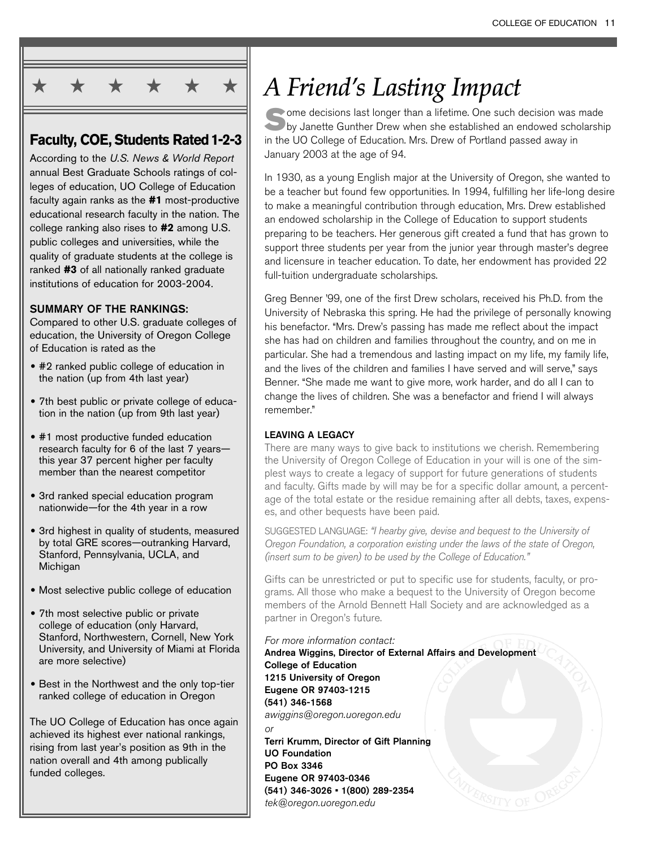

### **Faculty, COE, Students Rated1-2-3**

According to the *U.S. News & World Report* annual Best Graduate Schools ratings of colleges of education, UO College of Education faculty again ranks as the **#1** most-productive educational research faculty in the nation. The college ranking also rises to **#2** among U.S. public colleges and universities, while the quality of graduate students at the college is ranked **#3** of all nationally ranked graduate institutions of education for 2003-2004.

### SUMMARY OF THE RANKINGS:

Compared to other U.S. graduate colleges of education, the University of Oregon College of Education is rated as the

- **•** #2 ranked public college of education in the nation (up from 4th last year)
- **•** 7th best public or private college of education in the nation (up from 9th last year)
- **•** #1 most productive funded education research faculty for 6 of the last 7 years this year 37 percent higher per faculty member than the nearest competitor
- **•** 3rd ranked special education program nationwide—for the 4th year in a row
- **•** 3rd highest in quality of students, measured by total GRE scores—outranking Harvard, Stanford, Pennsylvania, UCLA, and Michigan
- **•** Most selective public college of education
- **•** 7th most selective public or private college of education (only Harvard, Stanford, Northwestern, Cornell, New York University, and University of Miami at Florida are more selective)
- **•** Best in the Northwest and the only top-tier ranked college of education in Oregon

The UO College of Education has once again achieved its highest ever national rankings, rising from last year's position as 9th in the nation overall and 4th among publically funded colleges.

# *A Friend's Lasting Impact*

Some decisions last longer than a lifetime. One such decision was made<br>by Janette Gunther Drew when she established an endowed scholarship in the UO College of Education. Mrs. Drew of Portland passed away in January 2003 at the age of 94.

In 1930, as a young English major at the University of Oregon, she wanted to be a teacher but found few opportunities. In 1994, fulfilling her life-long desire to make a meaningful contribution through education, Mrs. Drew established an endowed scholarship in the College of Education to support students preparing to be teachers. Her generous gift created a fund that has grown to support three students per year from the junior year through master's degree and licensure in teacher education. To date, her endowment has provided 22 full-tuition undergraduate scholarships.

Greg Benner '99, one of the first Drew scholars, received his Ph.D. from the University of Nebraska this spring. He had the privilege of personally knowing his benefactor. "Mrs. Drew's passing has made me reflect about the impact she has had on children and families throughout the country, and on me in particular. She had a tremendous and lasting impact on my life, my family life, and the lives of the children and families I have served and will serve," says Benner. "She made me want to give more, work harder, and do all I can to change the lives of children. She was a benefactor and friend I will always remember."

### LEAVING A LEGACY

There are many ways to give back to institutions we cherish. Remembering the University of Oregon College of Education in your will is one of the simplest ways to create a legacy of support for future generations of students and faculty. Gifts made by will may be for a specific dollar amount, a percentage of the total estate or the residue remaining after all debts, taxes, expenses, and other bequests have been paid.

SUGGESTED LANGUAGE: "I hearby give, devise and bequest to the University of Oregon Foundation, a corporation existing under the laws of the state of Oregon, (insert sum to be given) to be used by the College of Education."

Gifts can be unrestricted or put to specific use for students, faculty, or programs. All those who make a bequest to the University of Oregon become members of the Arnold Bennett Hall Society and are acknowledged as a partner in Oregon's future.

### For more information contact:

Andrea Wiggins, Director of External Affairs and Development College of Education 1215 University of Oregon Eugene OR 97403-1215 (541) 346-1568 awiggins@oregon.uoregon.edu or Terri Krumm, Director of Gift Planning UO Foundation PO Box 3346

Eugene OR 97403-0346 (541) 346-3026 • 1(800) 289-2354 tek@oregon.uoregon.edu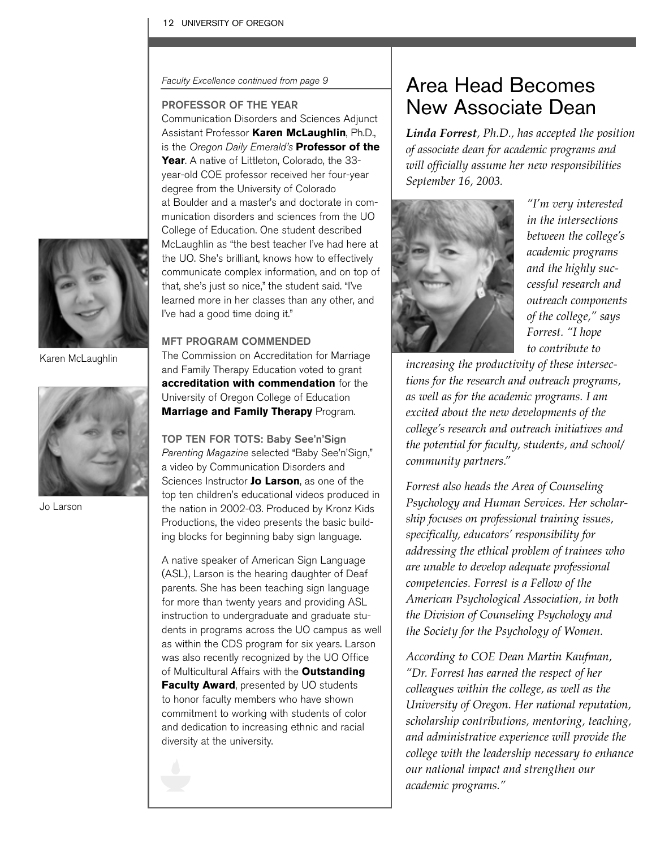Faculty Excellence continued from page 9

### PROFESSOR OF THE YEAR

Communication Disorders and Sciences Adjunct Assistant Professor **Karen McLaughlin**, Ph.D., is the Oregon Daily Emerald's **Professor of the Year**. A native of Littleton, Colorado, the 33 year-old COE professor received her four-year degree from the University of Colorado at Boulder and a master's and doctorate in communication disorders and sciences from the UO College of Education. One student described McLaughlin as "the best teacher I've had here at the UO. She's brilliant, knows how to effectively communicate complex information, and on top of that, she's just so nice," the student said. "I've learned more in her classes than any other, and I've had a good time doing it."

### MFT PROGRAM COMMENDED

The Commission on Accreditation for Marriage and Family Therapy Education voted to grant **accreditation with commendation** for the University of Oregon College of Education **Marriage and Family Therapy** Program.

TOP TEN FOR TOTS: Baby See'n'Sign Parenting Magazine selected "Baby See'n'Sign," a video by Communication Disorders and Sciences Instructor **Jo Larson**, as one of the top ten children's educational videos produced in the nation in 2002-03. Produced by Kronz Kids Productions, the video presents the basic building blocks for beginning baby sign language.

A native speaker of American Sign Language (ASL), Larson is the hearing daughter of Deaf parents. She has been teaching sign language for more than twenty years and providing ASL instruction to undergraduate and graduate students in programs across the UO campus as well as within the CDS program for six years. Larson was also recently recognized by the UO Office of Multicultural Affairs with the **Outstanding Faculty Award**, presented by UO students to honor faculty members who have shown commitment to working with students of color and dedication to increasing ethnic and racial diversity at the university.



### Area Head Becomes New Associate Dean

*Linda Forrest, Ph.D., has accepted the position of associate dean for academic programs and will officially assume her new responsibilities September 16, 2003.* 



*"I'm very interested in the intersections between the college's academic programs and the highly successful research and outreach components of the college," says Forrest. "I hope to contribute to*

*increasing the productivity of these intersections for the research and outreach programs, as well as for the academic programs. I am excited about the new developments of the college's research and outreach initiatives and the potential for faculty, students, and school/ community partners."*

*Forrest also heads the Area of Counseling Psychology and Human Services. Her scholarship focuses on professional training issues, specifically, educators' responsibility for addressing the ethical problem of trainees who are unable to develop adequate professional competencies. Forrest is a Fellow of the American Psychological Association, in both the Division of Counseling Psychology and the Society for the Psychology of Women.*

*According to COE Dean Martin Kaufman, "Dr. Forrest has earned the respect of her colleagues within the college, as well as the University of Oregon. Her national reputation, scholarship contributions, mentoring, teaching, and administrative experience will provide the college with the leadership necessary to enhance our national impact and strengthen our academic programs."*



Karen McLaughlin



Jo Larson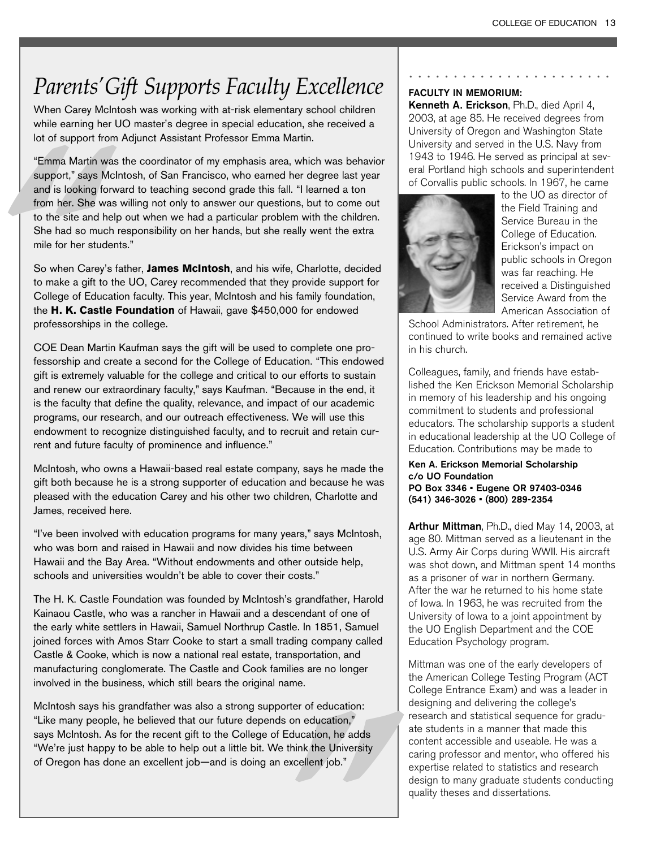### *Parents'Gift Supports Faculty Excellence*

When Carey McIntosh was working with at-risk elementary school children while earning her UO master's degree in special education, she received a lot of support from Adjunct Assistant Professor Emma Martin.

"Emma Martin was upport," says M<br>
and is looking for<br>
from her. She was<br>
to the site and he<br>
She had so mucl<br>
mile for her stude<br>
So when Carey's<br>
to make a gift to<br>
College of Educa<br>
the **H. K. Castle**<br>
professorships in<br> "Emma Martin was the coordinator of my emphasis area, which was behavior support," says McIntosh, of San Francisco, who earned her degree last year and is looking forward to teaching second grade this fall. "I learned a ton from her. She was willing not only to answer our questions, but to come out to the site and help out when we had a particular problem with the children. She had so much responsibility on her hands, but she really went the extra mile for her students."

So when Carey's father, **James McIntosh**, and his wife, Charlotte, decided to make a gift to the UO, Carey recommended that they provide support for College of Education faculty. This year, McIntosh and his family foundation, the **H. K. Castle Foundation** of Hawaii, gave \$450,000 for endowed professorships in the college.

COE Dean Martin Kaufman says the gift will be used to complete one professorship and create a second for the College of Education. "This endowed gift is extremely valuable for the college and critical to our efforts to sustain and renew our extraordinary faculty," says Kaufman. "Because in the end, it is the faculty that define the quality, relevance, and impact of our academic programs, our research, and our outreach effectiveness. We will use this endowment to recognize distinguished faculty, and to recruit and retain current and future faculty of prominence and influence."

McIntosh, who owns a Hawaii-based real estate company, says he made the gift both because he is a strong supporter of education and because he was pleased with the education Carey and his other two children, Charlotte and James, received here.

"I've been involved with education programs for many years," says McIntosh, who was born and raised in Hawaii and now divides his time between Hawaii and the Bay Area. "Without endowments and other outside help, schools and universities wouldn't be able to cover their costs."

The H. K. Castle Foundation was founded by McIntosh's grandfather, Harold Kainaou Castle, who was a rancher in Hawaii and a descendant of one of the early white settlers in Hawaii, Samuel Northrup Castle. In 1851, Samuel joined forces with Amos Starr Cooke to start a small trading company called Castle & Cooke, which is now a national real estate, transportation, and manufacturing conglomerate. The Castle and Cook families are no longer involved in the business, which still bears the original name.

Free of education.<br>
on education,"<br>
<u>Education</u>, he adds<br>
think the University<br>
xxcellent job." McIntosh says his grandfather was also a strong supporter of education: "Like many people, he believed that our future depends on education," says McIntosh. As for the recent gift to the College of Education, he adds "We're just happy to be able to help out a little bit. We think the University of Oregon has done an excellent job—and is doing an excellent job."

### FACULTY IN MEMORIUM:

Kenneth A. Erickson, Ph.D., died April 4, 2003, at age 85. He received degrees from University of Oregon and Washington State University and served in the U.S. Navy from 1943 to 1946. He served as principal at several Portland high schools and superintendent of Corvallis public schools. In 1967, he came

.......................



to the UO as director of the Field Training and Service Bureau in the College of Education. Erickson's impact on public schools in Oregon was far reaching. He received a Distinguished Service Award from the American Association of

School Administrators. After retirement, he continued to write books and remained active in his church.

Colleagues, family, and friends have established the Ken Erickson Memorial Scholarship in memory of his leadership and his ongoing commitment to students and professional educators. The scholarship supports a student in educational leadership at the UO College of Education. Contributions may be made to

Ken A. Erickson Memorial Scholarship c/o UO Foundation PO Box 3346 • Eugene OR 97403-0346 (541) 346-3026 • (800) 289-2354

Arthur Mittman, Ph.D., died May 14, 2003, at age 80. Mittman served as a lieutenant in the U.S. Army Air Corps during WWII. His aircraft was shot down, and Mittman spent 14 months as a prisoner of war in northern Germany. After the war he returned to his home state of Iowa. In 1963, he was recruited from the University of Iowa to a joint appointment by the UO English Department and the COE Education Psychology program.

Mittman was one of the early developers of the American College Testing Program (ACT College Entrance Exam) and was a leader in designing and delivering the college's research and statistical sequence for graduate students in a manner that made this content accessible and useable. He was a caring professor and mentor, who offered his expertise related to statistics and research design to many graduate students conducting quality theses and dissertations.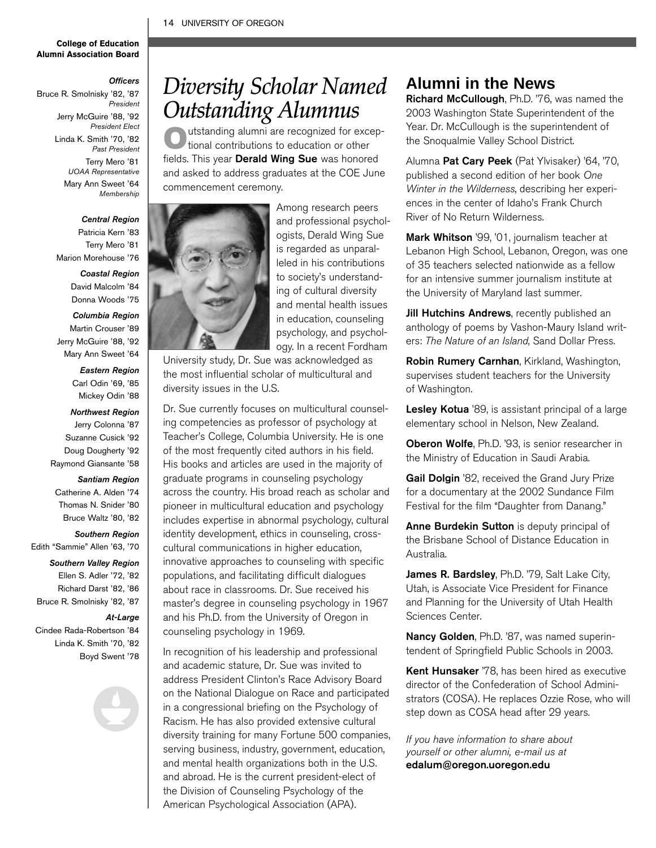### 14 UNIVERSITY OF OREGON

#### **College of Education Alumni Association Board**

#### *Officers*

Bruce R. Smolnisky '82, '87 *President*  Jerry McGuire '88, '92 *President Elect* Linda K. Smith '70, '82 *Past President* Terry Mero '81 *UOAA Representative* Mary Ann Sweet '64 *Membership*

### *Central Region*

Patricia Kern '83 Terry Mero '81 Marion Morehouse '76

#### *Coastal Region*

David Malcolm '84 Donna Woods '75

#### *Columbia Region*

Martin Crouser '89 Jerry McGuire '88, '92

Mary Ann Sweet '64 *Eastern Region* Carl Odin '69, '85

### Mickey Odin '88

#### *Northwest Region*

- Jerry Colonna '87
- Suzanne Cusick '92
- Doug Dougherty '92
- Raymond Giansante '58

### *Santiam Region*

- Catherine A. Alden '74
- Thomas N. Snider '80
- Bruce Waltz '80, '82

### *Southern Region*

- Edith "Sammie" Allen '63, '70
	- *Southern Valley Region*
	- Ellen S. Adler '72, '82
	- Richard Darst '82, '86
- Bruce R. Smolnisky '82, '87

#### *At-Large*

Cindee Rada-Robertson '84 Linda K. Smith '70, '82

Boyd Swent '78

### *Diversity Scholar Named Outstanding Alumnus*

utstanding alumni are recognized for exceptional contributions to education or other fields. This year Derald Wing Sue was honored and asked to address graduates at the COE June commencement ceremony.



Among research peers and professional psychologists, Derald Wing Sue is regarded as unparalleled in his contributions to society's understanding of cultural diversity and mental health issues in education, counseling psychology, and psychology. In a recent Fordham

University study, Dr. Sue was acknowledged as the most influential scholar of multicultural and diversity issues in the U.S.

Dr. Sue currently focuses on multicultural counseling competencies as professor of psychology at Teacher's College, Columbia University. He is one of the most frequently cited authors in his field. His books and articles are used in the majority of graduate programs in counseling psychology across the country. His broad reach as scholar and pioneer in multicultural education and psychology includes expertise in abnormal psychology, cultural identity development, ethics in counseling, crosscultural communications in higher education, innovative approaches to counseling with specific populations, and facilitating difficult dialogues about race in classrooms. Dr. Sue received his master's degree in counseling psychology in 1967 and his Ph.D. from the University of Oregon in counseling psychology in 1969.

In recognition of his leadership and professional and academic stature, Dr. Sue was invited to address President Clinton's Race Advisory Board on the National Dialogue on Race and participated in a congressional briefing on the Psychology of Racism. He has also provided extensive cultural diversity training for many Fortune 500 companies, serving business, industry, government, education, and mental health organizations both in the U.S. and abroad. He is the current president-elect of the Division of Counseling Psychology of the American Psychological Association (APA).

### **Alumni in the News**

Richard McCullough, Ph.D. '76, was named the 2003 Washington State Superintendent of the Year. Dr. McCullough is the superintendent of the Snoqualmie Valley School District.

Alumna Pat Cary Peek (Pat Ylvisaker) '64, '70, published a second edition of her book One Winter in the Wilderness, describing her experiences in the center of Idaho's Frank Church River of No Return Wilderness.

Mark Whitson '99, '01, journalism teacher at Lebanon High School, Lebanon, Oregon, was one of 35 teachers selected nationwide as a fellow for an intensive summer journalism institute at the University of Maryland last summer.

Jill Hutchins Andrews, recently published an anthology of poems by Vashon-Maury Island writers: The Nature of an Island, Sand Dollar Press.

Robin Rumery Carnhan, Kirkland, Washington, supervises student teachers for the University of Washington.

Lesley Kotua '89, is assistant principal of a large elementary school in Nelson, New Zealand.

Oberon Wolfe, Ph.D. '93, is senior researcher in the Ministry of Education in Saudi Arabia.

Gail Dolgin '82, received the Grand Jury Prize for a documentary at the 2002 Sundance Film Festival for the film "Daughter from Danang."

Anne Burdekin Sutton is deputy principal of the Brisbane School of Distance Education in Australia.

James R. Bardsley, Ph.D. '79, Salt Lake City, Utah, is Associate Vice President for Finance and Planning for the University of Utah Health Sciences Center.

Nancy Golden, Ph.D. '87, was named superintendent of Springfield Public Schools in 2003.

Kent Hunsaker '78, has been hired as executive director of the Confederation of School Administrators (COSA). He replaces Ozzie Rose, who will step down as COSA head after 29 years.

If you have information to share about yourself or other alumni, e-mail us at edalum@oregon.uoregon.edu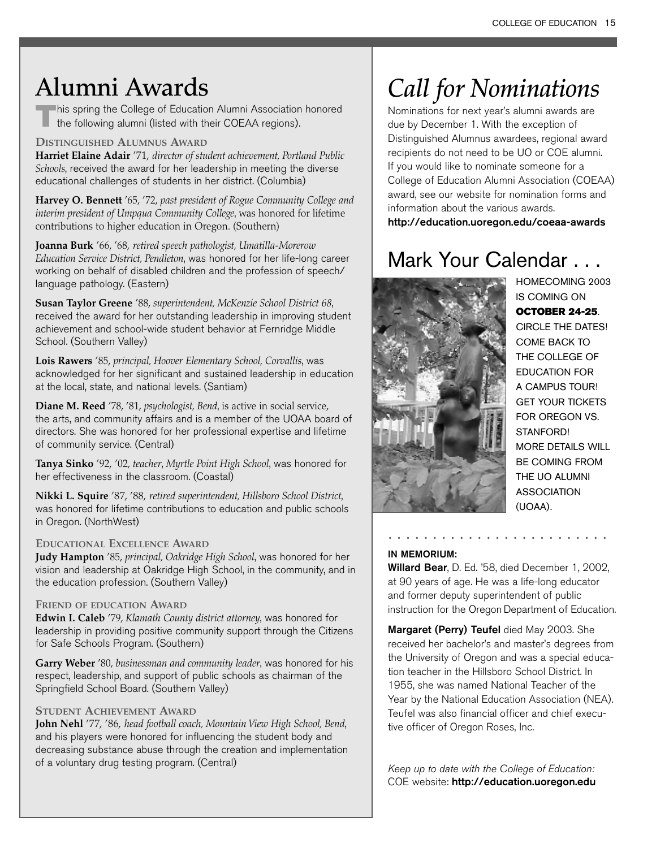## **Alumni Awards**

This spring the College of Education Alumni Association honored the following alumni (listed with their COEAA regions).

### **DISTINGUISHED ALUMNUS AWARD**

**Harriet Elaine Adair** '71, *director of student achievement, Portland Public Schools*, received the award for her leadership in meeting the diverse educational challenges of students in her district. (Columbia)

**Harvey O. Bennett** '65, '72, *past president of Rogue Community College and interim president of Umpqua Community College*, was honored for lifetime contributions to higher education in Oregon. (Southern)

**Joanna Burk** '66, '68, *retired speech pathologist, Umatilla-Morerow Education Service District, Pendleton*, was honored for her life-long career working on behalf of disabled children and the profession of speech/ language pathology. (Eastern)

**Susan Taylor Greene** '88, *superintendent, McKenzie School District 68*, received the award for her outstanding leadership in improving student achievement and school-wide student behavior at Fernridge Middle School. (Southern Valley)

**Lois Rawers** '85, *principal, Hoover Elementary School, Corvallis*, was acknowledged for her significant and sustained leadership in education at the local, state, and national levels. (Santiam)

**Diane M. Reed** '78, '81, *psychologist, Bend*, is active in social service, the arts, and community affairs and is a member of the UOAA board of directors. She was honored for her professional expertise and lifetime of community service. (Central)

**Tanya Sinko** '92, '02, *teacher*, *Myrtle Point High School*, was honored for her effectiveness in the classroom. (Coastal)

**Nikki L. Squire** '87, '88, *retired superintendent, Hillsboro School District*, was honored for lifetime contributions to education and public schools in Oregon. (NorthWest)

### **EDUCATIONAL EXCELLENCE AWARD**

**Judy Hampton** '85, *principal, Oakridge High School*, was honored for her vision and leadership at Oakridge High School, in the community, and in the education profession. (Southern Valley)

### **FRIEND OF EDUCATION AWARD**

**Edwin I. Caleb** '79, *Klamath County district attorney*, was honored for leadership in providing positive community support through the Citizens for Safe Schools Program. (Southern)

**Garry Weber** '80, *businessman and community leader*, was honored for his respect, leadership, and support of public schools as chairman of the Springfield School Board. (Southern Valley)

### **STUDENT ACHIEVEMENT AWARD**

**John Nehl** '77, '86, *head football coach, Mountain View High School, Bend*, and his players were honored for influencing the student body and decreasing substance abuse through the creation and implementation of a voluntary drug testing program. (Central)

# *Call for Nominations*

Nominations for next year's alumni awards are due by December 1. With the exception of Distinguished Alumnus awardees, regional award recipients do not need to be UO or COE alumni. If you would like to nominate someone for a College of Education Alumni Association (COEAA) award, see our website for nomination forms and information about the various awards. http://education.uoregon.edu/coeaa-awards

### Mark Your Calendar . . .



HOMECOMING 2003 IS COMING ON OCTOBER 24-25. CIRCLE THE DATES! COME BACK TO THE COLLEGE OF EDUCATION FOR A CAMPUS TOUR! GET YOUR TICKETS FOR OREGON VS. STANFORD! MORE DETAILS WILL BE COMING FROM THE UO ALUMNI **ASSOCIATION** (UOAA).

### IN MEMORIUM:

Willard Bear, D. Ed. '58, died December 1, 2002, at 90 years of age. He was a life-long educator and former deputy superintendent of public instruction for the Oregon Department of Education.

.........................

Margaret (Perry) Teufel died May 2003. She received her bachelor's and master's degrees from the University of Oregon and was a special education teacher in the Hillsboro School District. In 1955, she was named National Teacher of the Year by the National Education Association (NEA). Teufel was also financial officer and chief executive officer of Oregon Roses, Inc.

Keep up to date with the College of Education: COE website: http://education.uoregon.edu